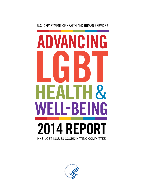# U.S. DEPARTMENT OF HEALTH AND HUMAN SERVICES

# ANCIN G  $\mathcal{R}_{1}$  $I - B$ ĥ E. **2014 REPO** HHS LGBT ISSUES COORDINATING COMMITTEE

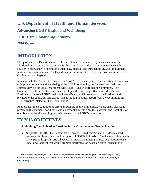# **U.S. Department of Health and Human Services**

# **Advancing LGBT Health and Well Being**

*LGBT Issues Coordinating Committee* 

*2014 Report* 

# **INTRODUCTION**

This past year, the Department of Health and Human Services (HHS) has taken a number of additional important actions and made further significant strides to continue to advance the equality, health, and well-being of lesbian, gay, bisexual and transgender (LGBT) individuals, families, and communities. The Department's commitment to these issues will continue in the coming year and beyond.

HHS activities related to LGBT populations. In response to the President's directive in April 2010 to identify steps the Department could take to improve the health and well-being of the LGBT community, the Secretary of Health and Human Services set up a Department-wide LGBT Issues Coordinating Committee. The Committee, on behalf of the Secretary, developed the Secretary's Recommended Actions to the President to Improve LGBT Health and Well-Being, which were sent to the President and released to the public in April 2011. This is the fourth annual report from the Committee on

our objectives for this coming year with respect to the LGBT community.<sup>[1](#page-1-0)</sup> As the Department continues its efforts in support of all communities, we are again pleased to present in this annual report both notable accomplishments from this past year and highlights of

# **FY 2015 OBJECTIVES**

l

## **1. Prohibiting Discrimination Based on Sexual Orientation or Gender Identity**

a. *Hospitals – In 2011*, the Centers for Medicare & Medicaid Services (CMS) released guidance clarifying the visitation rights of LGBT individuals in Medicare- and Medicaidparticipating hospitals, critical access hospitals, and nursing homes. A proposed rule is under development that would prohibit discrimination based on sexual orientation or

<span id="page-1-0"></span> $1^1$  In this report, the acronym "LGBT" may also encompass other sexual and gender minority populations, including, but not limited to, those who are diagnosed with intersex conditions and those who identify as questioning.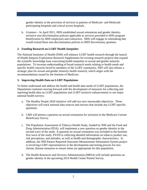gender identity in the provision of services to patients of Medicare- and Medicaidparticipating hospitals and critical access hospitals.

 beneficiaries by HHS employees and contractors. HHS will engage in rulemaking that b. *Grantees* – In April 2011, HHS established sexual orientation and gender identityinclusive non-discrimination policies applicable to services provided to HHS program would extend these non-discrimination policies to HHS discretionary grantees.

# **2. Funding Research on LGBT Health Inequities**

 strategic plan for sexual and gender minority health research, which aligns with the The National Institutes of Health (NIH) will enhance LGBT health research through the launch of Health Inequity Exploration Research Supplements for existing research projects that expand the scientific knowledge base concerning health inequities in sexual and gender minority populations. To increase understanding of broad research needs relating to health needs and specific health concerns faced by members of the LGBT community, NIH will also release a recommendations issued by the Institute of Medicine.

## **3. Improving Health Data on LGBT Populations**

 To better understand and address the health and health data needs of LGBT populations, the Department continues moving forward with the development of measures for collecting and reporting health data on LGBT populations and LGBT-inclusive enhancements to our major national health surveys.

- a. The Healthy People 2020 initiative will add two new measurable objectives. These objectives will track national data sources and surveys that include any LGBT-specific questions.
- b. CMS will pretest a question on sexual orientation for inclusion in the Medicare Current Beneficiary Survey.
- c. The Population Assessment of Tobacco Health Study, funded by NIH and the Food and Drug Administration (FDA), will implement a new question on gender identity in the second wave of the study. A question on sexual orientation was included in the baseline first wave of the study. PATH is collecting detailed information on tobacco product use, risk perceptions, and attitudes, as well as health and demographic characteristics. In addition, the NIH Patient Reported Outcomes Measurement Information System project is involving LGBT representatives in the development and testing process for new chronic disease measures to ensure items are appropriate for this population.
- d. The Health Resources and Services Administration (HRSA) will include questions on gender identity in the upcoming 2014 Health Center Patient Survey.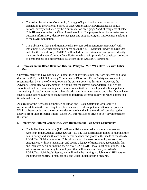- Title III services under the Older Americans Act. The purpose is to obtain performance outcome information, identify service gaps and support program improvements relating e. The Administration for Community Living (ACL) will add a question on sexual orientation to the National Survey of Older Americans Act Participants, an annual national survey conducted by the Administration on Aging (AoA) of recipients of select to the LGBT population.
- and Health. In addition, SAMHSA will include sexual orientation and gender identity of demographic and performance data from all of SAMHSA's grantees. f. The Substance Abuse and Mental Health Services Administration (SAMHSA) will implement new sexual orientation questions in the 2015 National Survey on Drug Use measures in the new Common Data Platform, which will provide for consistent collection

## **4. Research on the Blood Donation Deferral Policy for Men Who Have Sex with Other Men**

 donors. In 2010, the HHS Advisory Committee on Blood and Tissue Safety and Availability recommended, by a vote of 9 to 6, to retain the current policy at this time. However, the Currently, men who have had sex with other men at any time since 1977 are deferred as blood Advisory Committee was unanimous in finding that the current donor deferral policies are suboptimal and in recommending specific research activities to develop and validate potential alternative policies. In recent years, scientific advances in viral screening and other factors have caused some other countries to change from an indefinite deferral policy for MSM donors to a time-based deferral.

As a result of the Advisory Committee on Blood and Tissue Safety and Availability's recommendation to the Secretary to explore research to inform potential alternative policies, HHS has been conducting the recommended research and is in the midst of completing the analysis from these research studies, which will inform science driven policy development on this issue.

## **5. Improving Cultural Competency with Respect to the Two Spirit Community**

 health policy and health care delivery that advance and promote the needs of the AI/AN LGBT/Two Spirit community. This initiative will increase community access to and LGBT/Two Spirit health issues, and will make the training available to all IHS partners, a. The Indian Health Service (IHS) will establish an external advisory committee on American Indian/Alaska Native (AI/AN) LGBT/Two Spirit health issues to help institute engagement with IHS leadership, and secure a legacy of transparent, accountable, fair, and inclusive decision-making specific to AI/AN LGBT/Two Spirit populations. IHS will also institute training for employees that will focus specifically on AI/AN including tribes, tribal organizations, and urban Indian health programs.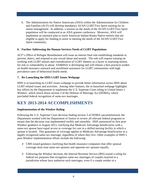senior management. In addition, a session on the needs of the AI/AN LGBT/Two Spirit eligible to apply for funding to assist in meeting the needs of the AI/AN LGBT/Two b. The Administration for Native Americans (ANA) within the Administration for Children and Families (ACF) will develop mandatory AI/AN LGBT/Two Spirit training for its population will be conducted at an ANA grantee conference. Moreover, ANA will implement an outreach plan to reach American Indian/Alaska Native entities that are Spirit community.

## **6. Further Addressing the Human Services Needs of LGBT Populations**

ACF's Office of Refugee Resettlement will issue an interim final rule establishing standards to prevent, detect, and respond to any sexual abuse and assault. The rule will require training on working with LGBT minors and consideration of LGBT identity as a factor in assessing minors for risk or vulnerability to abuse. SAMHSA is developing and will release a best practices toolkit on health insurance outreach and enrollment assistance for LGBT communities with high prevalence rates of behavioral health needs.

# **7. Re-Launching the HHS LGBT Issues Webpage**

HHS is re-launching its LGBT issues webpage to provide better information across HHS about LGBT-related issues and activities. Among other features, the re-launched webpage highlights key efforts by the Department to implement the U.S. Supreme Court ruling in *United States v. Windsor*, which struck down section 3 of the Defense of Marriage Act (DOMA), which precluded federal recognition of same-sex marriages.

# **KEY 2013-2014 ACCOMPLISHMENTS**

# **Implementation of the** *Windsor* **Ruling**

 Department worked with the Department of Justice to review all relevant federal programs to same-sex spouse have equal access to coverage for care in a skilled nursing facility in which a Following the U.S. Supreme Court decision finding section 3 of DOMA unconstitutional, the ensure that the decision was implemented swiftly and smoothly. HHS announced its first post-*Windsor* guidance in August 2013, clarifying that Medicare Advantage beneficiaries with a spouse is located. This guarantee of coverage applies to Medicare Advantage beneficiaries in a legally recognized same-sex marriage, regardless of where they live. Other examples of HHS's post-*Windsor* implementation efforts include the following:

- $\triangleright$  CMS issued guidance clarifying that health insurance companies that offer spousal coverage must treat same-sex spouses and opposite-sex spouses equally.
- Following the *Windsor* decision, the Internal Revenue Service (IRS) issued a ruling for federal tax purposes that recognizes same-sex marriages of couples married in a jurisdiction whose laws authorize such marriages, even if a couple resides in a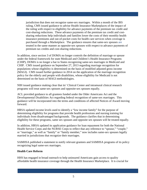jurisdiction that does not recognize same-sex marriages. Within a month of the IRS purchased through a Marketplace. The guidance ensures that same-sex spouses are ruling, CMS issued guidance to advise Health Insurance Marketplaces of the impact of the ruling with respect to eligibility for advance payments of the premium tax credit and cost-sharing reductions. These advance payments of the premium tax credit and costsharing reductions help individuals and families lower the costs of their monthly health insurance premiums and out-of-pocket costs for health care services when coverage is treated in the same manner as opposite-sex spouses with respect to advance payments of premium tax credits and cost-sharing reductions.

 (MAGI). CMS issued further guidance in 2014 on the application of the marriage recognition In addition, since section 3 of DOMA no longer controls the definition of marriage or spouse under the federal framework for state Medicaid and Children's Health Insurance Programs (CHIP), DOMA is no longer a bar to States recognizing same-sex marriages in Medicaid and CHIP. CMS issued guidance on September 27, 2013 regarding marriage recognition for populations whose eligibility is determined on the basis of modified adjusted gross income policy for the elderly and people with disabilities, whose eligibility for Medicaid is not determined on the basis of MAGI methodologies.

NIH issued guidance making clear that its' Clinical Center and intramural clinical research programs will treat same-sex spouses and opposite-sex spouses equally.

 ACL provided guidance to all grantees funded under the Older Americans Act and the Developmental Disabilities Act regarding federal recognition of same-sex marriages. This guidance will be incorporated into the terms and conditions of affected Notices of Award moving forward.

HRSA updated income levels used to identify a "low income family" for the purpose of determining eligibility for programs that provide health professions and nursing training for individuals from disadvantaged backgrounds. The guidance clarifies that in determining eligibility for these programs, same sex spouses and opposite sex spouses will be treated equally.

 or "marriage," as well as "family" or "family member," now includes same-sex spouses legally In addition, HRSA updated its application guidance for loan repayment for both the National Health Service Corps and the NURSE Corps to reflect that any reference to "spouse," "couple," married in jurisdictions that recognize their marriages.

SAMHSA published a statement to notify relevant grantees and SAMHSA programs of its policy recognizing legal same-sex marriages.

## **Health Care Reform**

HHS has engaged in broad outreach to help uninsured Americans gain access to quality affordable health insurance coverage through the Health Insurance Marketplace. It is crucial for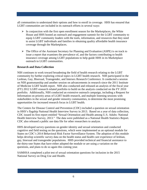LGBT communities are included in its outreach efforts in several ways: all communities to understand their options and how to enroll in coverage. HHS has ensured that

- House and HHS hosted an outreach and engagement summit for the LGBT community to equip LGBT community leaders with the tools, information, and resources that they need  $\triangleright$  In conjunction with the first open enrollment season for the Marketplaces, the White to assist LGBT individuals and families in obtaining quality affordable health insurance coverage through the Marketplaces.
- outreach to LGBT communities.  $\triangleright$  The Office of the Assistant Secretary for Planning and Evaluation (ASPE) is on track to issue a report that examines the prevalence of, and the factors contributing to health insurance coverage among LGBT populations to help guide HHS in its Marketplace

### **Research and Data Collection**

 of Medicine LGBT health report. NIH also conducted and released an analysis of the fiscal year NIH continues to work toward broadening the field of health research relating to the LGBT community by further exploring critical topics in LGBT health research. NIH participated in the Lesbian, Gay, Bisexual, Transgender, and Intersex Research Conference. It conducted a session on NIH grantsmanship and another session on advancements in research since the 2011 Institute (FY) 2012 LGBT-research related portfolio to build on the analysis conducted on the FY 2010 portfolio. Additionally, NIH conducted an extensive outreach campaign, including a Request for Information on priority areas of LGBT health research, and multiple listening sessions with stakeholders in the sexual and gender minority communities, to determine the most promising opportunities for increased research focus in LGBT health.

 Health Interview Survey, 2013." The data were published as a National Health Statistics Report. The Centers for Disease Control and Prevention (CDC) included a question on sexual orientation in HHS's flagship National Health Interview Survey in 2013. Based on a year of data collection, CDC issued its first report entitled "Sexual Orientation and Health among U.S. Adults: National CDC also released a public use data file for other researchers to analyze.

 HHS developed survey questions on gender identity and sexual orientation and conducted cognitive and field testing on the questions, which were implemented as an optional module for the thirty-one States that have either adopted the module or are using a variation on the States on CDC's 2014 Behavioral Risk Factor Surveillance System. The adoption of this module helps develop scientific survey data on the health status and health care experience of lesbian, gay, bisexual and transgender populations. HHS provided technical and financial assistance to questions, and plans to do so again this coming year.

SAMHSA completed a pilot test of sexual orientation questions for inclusion in the 2015 National Survey on Drug Use and Health.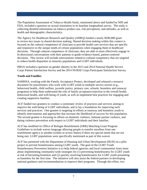The Population Assessment of Tobacco Health Study, mentioned above and funded by NIH and FDA, included a question on sexual orientation in its baseline longitudinal survey. The study is collecting detailed information on tobacco product use, risk perceptions, and attitudes, as well as health and demographic characteristics.

The Agency for Healthcare Research and Quality (AHRQ) funded a nearly \$500,000 grant to review key issues in shared decision making. Shared decision making within this context is focused on the cultural competence of clinicians to provide health care services that are specific and responsive to the unique needs of certain populations when engaging them in healthcare decisions. Through cultural competence of clinicians, they are able to more effectively engage in bi-directional conversations with their patients to guide evidence-based, patient-centered decisions. This review will include interventions related to cultural competency that are targeted to reduce health disparities in minority populations and LGBT individuals.

HRSA included a question on gender identity in the 2013 and 2014 National Health Service Corps Patient Satisfaction Survey and the 2014 NURSE Corps Participant Satisfaction Survey.

# **Youth and Families**

SAMHSA, working with the Family Acceptance Project, developed and released a resource document for practitioners who work with LGBT youth in multiple service sectors (e.g., behavioral health, child welfare, juvenile justice, primary care, schools, homeless and runaway programs) to help them understand the role of family acceptance/rejection in the overall health, behavioral health, and well-being of youth, as well as implement best practices for engaging and creating supportive families.

 ACF funded two grantees to conduct a systematic review of practices and services aiming to dating violence prevention with respect to LGBT individuals and their families. improve the well-being of LGBT individuals, and to lay a foundation for improving such services and practices. One grantee is targeting its efforts at runaway and homeless youth to identify interventions and approaches that increase the likelihood of success for this population. The second grantee is focusing its efforts on domestic violence, intimate partner violence, and

ACF has modified its Office of Refugee Resettlement (ORR) Matching Grant Program Guidelines to include waiver language allowing people to transfer enrollees from one resettlement agency to another (within or across States) if there are special needs that are not being met. LGBT populations were specifically mentioned as part of this waiver.

 about implementing community-wide strategies for (1) preventing homelessness for LGBT youth at risk of becoming homeless and (2) quickly resolving homelessness for LGBT youth presenting as homeless for the first time. The initiative will also assist the federal partners in developing ACF has partnered with the Department of Housing and Urban Development (HUD) on a pilot project to prevent homelessness among LGBT youth. The goal of the LGBT Youth Homelessness Prevention Initiative is to help federal agencies and local communities learn more national guidance and recommendations to improve their programs. Through this effort, two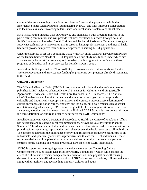communities are developing strategic action plans to focus on this population within their Emergency Shelter Grant Programs (administered by HUD) and with improved collaboration and technical assistance involving federal, state, and local service systems and stakeholders.

 SAMHSA technical assistance center that focuses on helping substance abuse and mental health HHS is facilitating linkages with our Runaway and Homeless Youth Program grantees in the participating communities and will provide technical assistance as needed through both the ACF's Runaway and Homeless Youth Training and Technical Assistance Center and through a treatment providers improve their cultural competence in serving LGBT populations.

 programs collect data and target services for homeless LGBT youth. Under the auspices of ASPE's continuing work with ACF on its Research Development Project on the Human Services Needs of LGBT Populations, a sub-study was funded under which site visits were conducted at four runaway and homeless youth programs to examine how these

 Violence Prevention and Services Act funding by promoting best practices already disseminated In addition, ACF supported LGBT accessibility in programs and activities receiving Family to the field.

### **Cultural Competency**

The Office of Minority Health (OMH), in collaboration with federal and non-federal partners, published LGBT-inclusive enhanced National Standards for Culturally and Linguistically Appropriate Services in Health and Health Care (National CLAS Standards). The National CLAS Standards are a blueprint for health and human services organizations to provide culturally and linguistically appropriate services and promote a more inclusive definition of culture encompassing not only race, ethnicity, and language, but also elements such as sexual orientation and gender identity. OMH is working with health care organizations to ensure that awareness, adoption, and implementation of the National CLAS Standards incorporate this more inclusive definition of culture in order to better serve the LGBT community.

 individuals, and specifically addresses reproductive health care for LGBT individuals. These In collaboration with CDC's Division of Reproductive Health, the Office of Population Affairs has developed and released clinical recommendations, "Providing Quality Family Planning Services." This document includes evidence-based and evidence-informed recommendations for providing family planning, reproductive, and related preventive health services to all individuals. The document addresses the importance of providing respectful reproductive health care to all recommendations will help health care providers deliver culturally competent and patientcentered family planning and related preventive care specific to LGBT individuals.

AHRQ is supporting an on-going systematic evidence review on "Improving Culture Competence to Reduce Health Disparities for Priority Populations," which will consider the effect of cultural and diversity competence interventions on three populations with varying degrees of cultural identification and visibility: LGBT adolescents and adults, children and adults aging with disabilities, and racial/ethnic minority children and adults.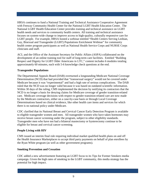with Fenway Community Health Center for the National LGBT Health Education Center. The National LGBT Health Education Center provides training and technical assistance on LGBT LGBT people. For example, HRSA hosted a webinar entitled "Health Centers Serving Lesbian, HRSA continues to fund a National Training and Technical Assistance Cooperative Agreement health needs and services to community health centers. All training and technical assistance focuses on system-wide change to improve access to high-quality, culturally responsive care for Gay, Bisexual and Transgender (LGBT) Populations Enrichment Webinar" for community health center program participants as well as National Health Service Corps and NURSE Corps clinicians and staff.

ACL and the Office of the Assistant Secretary for Public Affairs (ASPA) collaborated on the development of an online training tool for staff of long-term care facilities. Entitled "Building Respect and Dignity for LGBT Older Americans in LTC," content includes 6 modules totaling approximately 60 minutes, each with 5-6 knowledge check questions at the end.

### **Transgender Populations**

 care. Medicare coverage decisions with respect to gender transition-related care are now made The Departmental Appeals Board (DAB) overturned a longstanding Medicare National Coverage Determination (NCD) that had provided that "transsexual surgery" would not be covered under Medicare because it was "experimental" and had a high rate of serious complications. The DAB ruled that the NCD was no longer valid because it was based on outdated scientific information. Within 30 days of the ruling, CMS implemented the decision by notifying its contractors that the NCD is no longer a basis for denying claims for Medicare coverage of gender transition-related by the Medicare contractors, either on a case-by-case basis or through Local Coverage Determinations based on clinical evidence, like other health care items and services for which there is no national policy under Medicare.

CDC clarified that its National Breast and Cervical Cancer Early Detection Program is available to eligible transgender women and men. All transgender women who have taken hormones may receive breast cancer screening under the program, subject to other eligibility standards. Transgender men who have not had a bilateral mastectomy or hysterectomy continue to be eligible for breast and cervical cancer screening.

#### **People Living with HIV**

CMS issued an interim final rule requiring individual market qualified health plans on and off the Health Insurance Marketplaces to accept third party payments on behalf of plan enrollees by the Ryan White program (as well as other government programs).

#### **Smoking Prevention and Cessation**

CDC added a new advertisement featuring an LGBT focus to its Tips for Former Smokers media campaign. Given the high rates of smoking in the LGBT community, this media strategy has the potential for high impact.